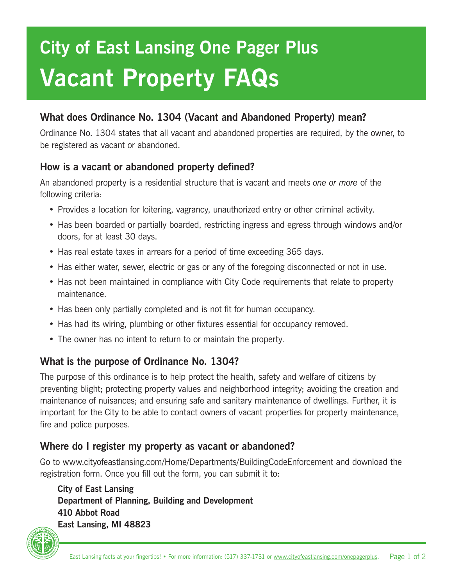# **City of East Lansing One Pager Plus Vacant Property FAQs**

# **What does Ordinance No. 1304 (Vacant and Abandoned Property) mean?**

Ordinance No. 1304 states that all vacant and abandoned properties are required, by the owner, to be registered as vacant or abandoned.

### **How is a vacant or abandoned property defined?**

An abandoned property is a residential structure that is vacant and meets *one or more* of the following criteria:

- Provides a location for loitering, vagrancy, unauthorized entry or other criminal activity.
- Has been boarded or partially boarded, restricting ingress and egress through windows and/or doors, for at least 30 days.
- Has real estate taxes in arrears for a period of time exceeding 365 days.
- Has either water, sewer, electric or gas or any of the foregoing disconnected or not in use.
- Has not been maintained in compliance with City Code requirements that relate to property maintenance.
- Has been only partially completed and is not fit for human occupancy.
- Has had its wiring, plumbing or other fixtures essential for occupancy removed.
- The owner has no intent to return to or maintain the property.

#### **What is the purpose of Ordinance No. 1304?**

The purpose of this ordinance is to help protect the health, safety and welfare of citizens by preventing blight; protecting property values and neighborhood integrity; avoiding the creation and maintenance of nuisances; and ensuring safe and sanitary maintenance of dwellings. Further, it is important for the City to be able to contact owners of vacant properties for property maintenance, fire and police purposes.

# **Where do I register my property as vacant or abandoned?**

Go to www.cityofeastlansing.com/Home/Departments/BuildingCodeEnforcement and download the registration form. Once you fill out the form, you can submit it to:

 **City of East Lansing Department of Planning, Building and Development 410 Abbot Road East Lansing, MI 48823**